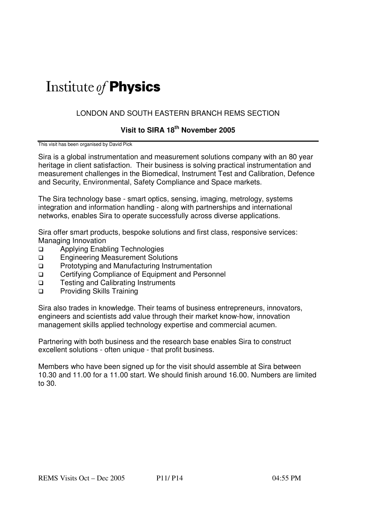# Institute of **Physics**

## LONDON AND SOUTH EASTERN BRANCH REMS SECTION

## **Visit to SIRA 18th November 2005**

This visit has been organised by David Pick

Sira is a global instrumentation and measurement solutions company with an 80 year heritage in client satisfaction. Their business is solving practical instrumentation and measurement challenges in the Biomedical, Instrument Test and Calibration, Defence and Security, Environmental, Safety Compliance and Space markets.

The Sira technology base - smart optics, sensing, imaging, metrology, systems integration and information handling - along with partnerships and international networks, enables Sira to operate successfully across diverse applications.

Sira offer smart products, bespoke solutions and first class, responsive services: Managing Innovation

- □ Applying Enabling Technologies
- **Engineering Measurement Solutions**
- **Prototyping and Manufacturing Instrumentation**
- □ Certifying Compliance of Equipment and Personnel
- □ Testing and Calibrating Instruments
- □ Providing Skills Training

Sira also trades in knowledge. Their teams of business entrepreneurs, innovators, engineers and scientists add value through their market know-how, innovation management skills applied technology expertise and commercial acumen.

Partnering with both business and the research base enables Sira to construct excellent solutions - often unique - that profit business.

Members who have been signed up for the visit should assemble at Sira between 10.30 and 11.00 for a 11.00 start. We should finish around 16.00. Numbers are limited to 30.